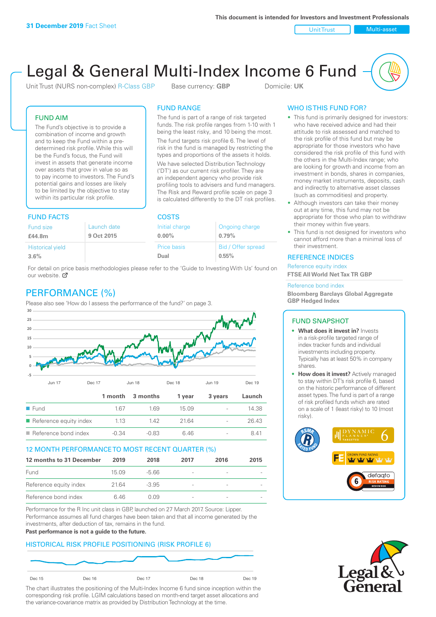Unit Trust Nulti-asset

# Legal & General Multi-Index Income 6 Fund

Unit Trust (NURS non-complex) R-Class GBP Base currency: **GBP** Domicile: UK

The fund is part of a range of risk targeted funds. The risk profile ranges from 1-10 with 1 being the least risky, and 10 being the most. The fund targets risk profile 6. The level of risk in the fund is managed by restricting the types and proportions of the assets it holds. We have selected Distribution Technology ('DT') as our current risk profiler. They are an independent agency who provide risk profiling tools to advisers and fund managers. The Risk and Reward profile scale on page 3 is calculated differently to the DT risk profiles.

FUND RANGE

# FUND AIM

The Fund's objective is to provide a combination of income and growth and to keep the Fund within a predetermined risk profile. While this will be the Fund's focus, the Fund will invest in assets that generate income over assets that grow in value so as to pay income to investors. The Fund's potential gains and losses are likely to be limited by the objective to stay within its particular risk profile.

# FUND FACTS COSTS

| .           |                |                    |  |  |
|-------------|----------------|--------------------|--|--|
| Launch date | Initial charge | Ongoing charge     |  |  |
| 9 Oct 2015  | $0.00\%$       | 0.79%              |  |  |
|             | Price basis    | Bid / Offer spread |  |  |
|             | Dual           | 0.55%              |  |  |
|             |                |                    |  |  |

For detail on price basis methodologies please refer to the 'Guide to Investing With Us' found on our website. Ø

# PERFORMANCE (%)

Please also see 'How do I assess the performance of the fund?' on page 3.



# 12 MONTH PERFORMANCE TO MOST RECENT QUARTER (%)

| 12 months to 31 December | 2019  | 2018  | 2017                     | 2016 | 2015 |
|--------------------------|-------|-------|--------------------------|------|------|
| Fund                     | 1509  | -5.66 | $\overline{\phantom{a}}$ |      |      |
| Reference equity index   | 21.64 | -3.95 | $\overline{\phantom{a}}$ |      |      |
| Reference bond index     | 646   | O 0.9 | -                        |      |      |

Performance for the R Inc unit class in GBP, launched on 27 March 2017. Source: Lipper. Performance assumes all fund charges have been taken and that all income generated by the investments, after deduction of tax, remains in the fund.

#### **Past performance is not a guide to the future.**

# HISTORICAL RISK PROFILE POSITIONING (RISK PROFILE 6)



The chart illustrates the positioning of the Multi-Index Income 6 fund since inception within the corresponding risk profile. LGIM calculations based on month-end target asset allocations and the variance-covariance matrix as provided by Distribution Technology at the time.

# WHO IS THIS FUND FOR?

- This fund is primarily designed for investors: who have received advice and had their attitude to risk assessed and matched to the risk profile of this fund but may be appropriate for those investors who have considered the risk profile of this fund with the others in the Multi-Index range; who are looking for growth and income from an investment in bonds, shares in companies, money market instruments, deposits, cash and indirectly to alternative asset classes (such as commodities) and property.
- Although investors can take their money out at any time, this fund may not be appropriate for those who plan to withdraw their money within five years.
- This fund is not designed for investors who cannot afford more than a minimal loss of their investment.

# REFERENCE INDICES

Reference equity index **FTSE All World Net Tax TR GBP**

#### Reference bond index

**Bloomberg Barclays Global Aggregate GBP Hedged Index**

# FUND SNAPSHOT

- **• What does it invest in?** Invests in a risk-profile targeted range of index tracker funds and individual investments including property. Typically has at least 50% in company shares.
- **• How does it invest?** Actively managed to stay within DT's risk profile 6, based on the historic performance of different asset types. The fund is part of a range of risk profiled funds which are rated on a scale of 1 (least risky) to 10 (most risky).



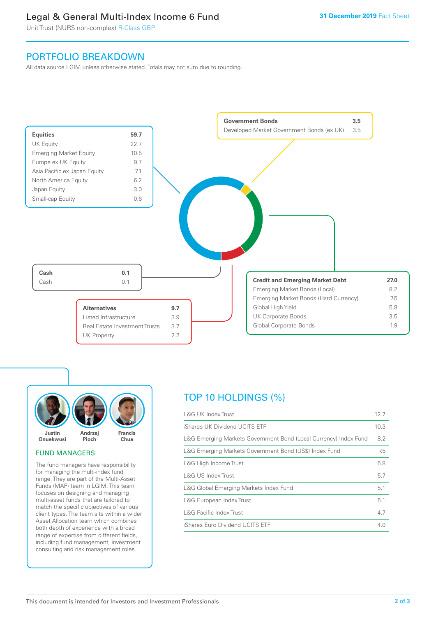# Legal & General Multi-Index Income 6 Fund

Unit Trust (NURS non-complex) R-Class GBP

# PORTFOLIO BREAKDOWN

All data source LGIM unless otherwise stated. Totals may not sum due to rounding.





#### FUND MANAGERS

The fund managers have responsibility for managing the multi-index fund range. They are part of the Multi-Asset Funds (MAF) team in LGIM. This team focuses on designing and managing multi-asset funds that are tailored to match the specific objectives of various client types. The team sits within a wider Asset Allocation team which combines both depth of experience with a broad range of expertise from different fields, including fund management, investment consulting and risk management roles.

# TOP 10 HOLDINGS (%)

| <b>L&amp;G UK Index Trust</b>                                    | 12.7 |
|------------------------------------------------------------------|------|
| iShares UK Dividend UCITS ETF                                    | 10.3 |
| L&G Emerging Markets Government Bond (Local Currency) Index Fund | 8.2  |
| L&G Emerging Markets Government Bond (US\$) Index Fund           | 7.5  |
| L&G High Income Trust                                            | 5.8  |
| L&G US Index Trust                                               | 5.7  |
| L&G Global Emerging Markets Index Fund                           | 5.1  |
| L&G European Index Trust                                         | 5.1  |
| <b>L&amp;G Pacific Index Trust</b>                               | 4.7  |
| iShares Euro Dividend UCITS ETF                                  | 4.0  |